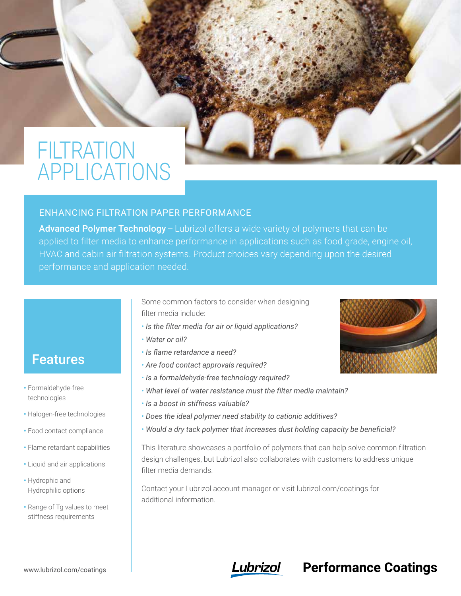# FILTRATION APPLICATIONS



#### ENHANCING FILTRATION PAPER PERFORMANCE

Advanced Polymer Technology – Lubrizol offers a wide variety of polymers that can be applied to filter media to enhance performance in applications such as food grade, engine oil, HVAC and cabin air filtration systems. Product choices vary depending upon the desired performance and application needed.

> Some common factors to consider when designing filter media include:

- *Is the filter media for air or liquid applications?*
- *Water or oil?*
- *Is flame retardance a need?*
- *Are food contact approvals required?*
- *Is a formaldehyde-free technology required?*
- *What level of water resistance must the filter media maintain?*
- *Is a boost in stiffness valuable?*
- *Does the ideal polymer need stability to cationic additives?*
- *Would a dry tack polymer that increases dust holding capacity be beneficial?*

This literature showcases a portfolio of polymers that can help solve common filtration design challenges, but Lubrizol also collaborates with customers to address unique filter media demands.

Contact your Lubrizol account manager or visit lubrizol.com/coatings for additional information.



#### www.lubrizol.com/coatings



### **Performance Coatings**

### Features

- Formaldehyde-free technologies
- Halogen-free technologies
- Food contact compliance
- Flame retardant capabilities
- Liquid and air applications
- Hydrophic and Hydrophilic options
- Range of Tg values to meet stiffness requirements